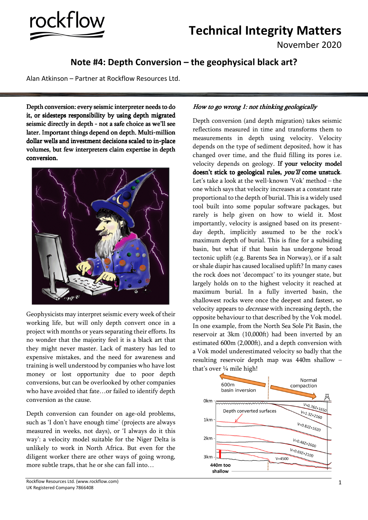

# **Technical Integrity Matters**

November 2020

## **Note #4: Depth Conversion – the geophysical black art?**

Alan Atkinson – Partner at Rockflow Resources Ltd.

Depth conversion: every seismic interpreter needs to do it, or sidesteps responsibility by using depth migrated seismic directly in depth - not a safe choice as we'll see later. Important things depend on depth. Multi-million dollar wells and investment decisions scaled to in-place volumes, but few interpreters claim expertise in depth conversion.



Geophysicists may interpret seismic every week of their working life, but will only depth convert once in a project with months or years separating their efforts. Its no wonder that the majority feel it is a black art that they might never master. Lack of mastery has led to expensive mistakes, and the need for awareness and training is well understood by companies who have lost money or lost opportunity due to poor depth conversions, but can be overlooked by other companies who have avoided that fate…or failed to identify depth conversion as the cause.

Depth conversion can founder on age-old problems, such as 'I don't have enough time' (projects are always measured in weeks, not days), or 'I always do it this way': a velocity model suitable for the Niger Delta is unlikely to work in North Africa. But even for the diligent worker there are other ways of going wrong, more subtle traps, that he or she can fall into…

#### Rockflow Resources Ltd. (www.rockflow.com) UK Registered Company 7866408

### How to go wrong 1: not thinking geologically

Depth conversion (and depth migration) takes seismic reflections measured in time and transforms them to measurements in depth using velocity. Velocity depends on the type of sediment deposited, how it has changed over time, and the fluid filling its pores i.e. velocity depends on geology. If your velocity model doesn't stick to geological rules, you'll come unstuck. Let's take a look at the well-known 'Vok' method – the one which says that velocity increases at a constant rate proportional to the depth of burial. This is a widely used tool built into some popular software packages, but rarely is help given on how to wield it. Most importantly, velocity is assigned based on its presentday depth, implicitly assumed to be the rock's maximum depth of burial. This is fine for a subsiding basin, but what if that basin has undergone broad tectonic uplift (e.g. Barents Sea in Norway), or if a salt or shale diapir has caused localised uplift? In many cases the rock does not 'decompact' to its younger state, but largely holds on to the highest velocity it reached at maximum burial. In a fully inverted basin, the shallowest rocks were once the deepest and fastest, so velocity appears to decrease with increasing depth, the opposite behaviour to that described by the Vok model. In one example, from the North Sea Sole Pit Basin, the reservoir at 3km (10,000ft) had been inverted by an estimated 600m (2,000ft), and a depth conversion with a Vok model underestimated velocity so badly that the resulting reservoir depth map was 440m shallow – that's over ¼ mile high!